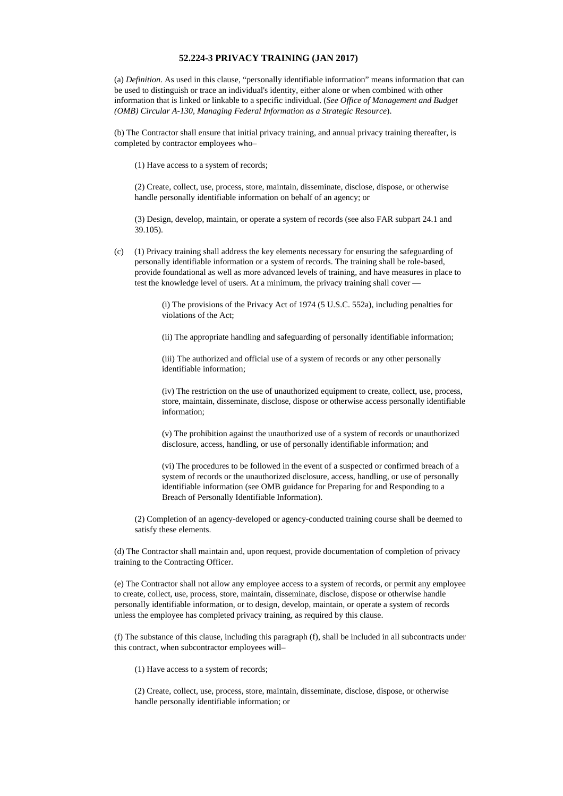## **52.224-3 PRIVACY TRAINING (JAN 2017)**

(a) *Definition*. As used in this clause, "personally identifiable information" means information that can be used to distinguish or trace an individual's identity, either alone or when combined with other information that is linked or linkable to a specific individual. (*See Office of Management and Budget (OMB) Circular A-130, Managing Federal Information as a Strategic Resource*).

(b) The Contractor shall ensure that initial privacy training, and annual privacy training thereafter, is completed by contractor employees who–

(1) Have access to a system of records;

(2) Create, collect, use, process, store, maintain, disseminate, disclose, dispose, or otherwise handle personally identifiable information on behalf of an agency; or

(3) Design, develop, maintain, or operate a system of records (see also FAR subpart 24.1 and 39.105).

(c) (1) Privacy training shall address the key elements necessary for ensuring the safeguarding of personally identifiable information or a system of records. The training shall be role-based, provide foundational as well as more advanced levels of training, and have measures in place to test the knowledge level of users. At a minimum, the privacy training shall cover —

> (i) The provisions of the Privacy Act of 1974 (5 U.S.C. 552a), including penalties for violations of the Act;

> (ii) The appropriate handling and safeguarding of personally identifiable information;

(iii) The authorized and official use of a system of records or any other personally identifiable information;

(iv) The restriction on the use of unauthorized equipment to create, collect, use, process, store, maintain, disseminate, disclose, dispose or otherwise access personally identifiable information;

(v) The prohibition against the unauthorized use of a system of records or unauthorized disclosure, access, handling, or use of personally identifiable information; and

(vi) The procedures to be followed in the event of a suspected or confirmed breach of a system of records or the unauthorized disclosure, access, handling, or use of personally identifiable information (see OMB guidance for Preparing for and Responding to a Breach of Personally Identifiable Information).

(2) Completion of an agency-developed or agency-conducted training course shall be deemed to satisfy these elements.

(d) The Contractor shall maintain and, upon request, provide documentation of completion of privacy training to the Contracting Officer.

(e) The Contractor shall not allow any employee access to a system of records, or permit any employee to create, collect, use, process, store, maintain, disseminate, disclose, dispose or otherwise handle personally identifiable information, or to design, develop, maintain, or operate a system of records unless the employee has completed privacy training, as required by this clause.

(f) The substance of this clause, including this paragraph (f), shall be included in all subcontracts under this contract, when subcontractor employees will–

(1) Have access to a system of records;

(2) Create, collect, use, process, store, maintain, disseminate, disclose, dispose, or otherwise handle personally identifiable information; or